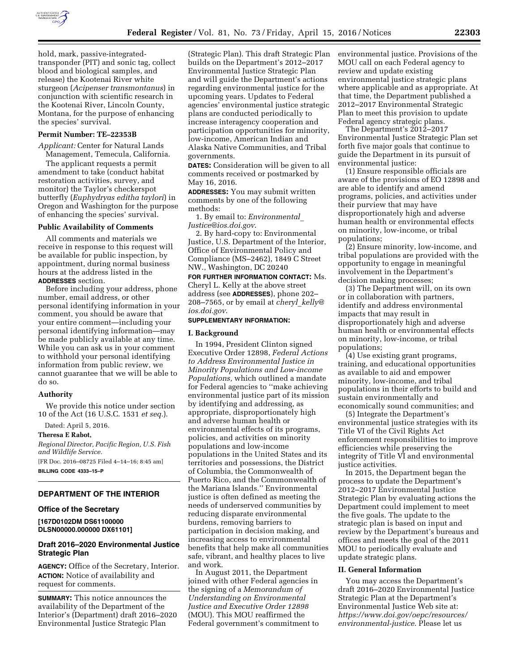

hold, mark, passive-integratedtransponder (PIT) and sonic tag, collect blood and biological samples, and release) the Kootenai River white sturgeon (*Acipenser transmontanus*) in conjunction with scientific research in the Kootenai River, Lincoln County, Montana, for the purpose of enhancing the species' survival.

#### **Permit Number: TE–22353B**

*Applicant:* Center for Natural Lands Management, Temecula, California.

The applicant requests a permit amendment to take (conduct habitat restoration activities, survey, and monitor) the Taylor's checkerspot butterfly (*Euphydryas editha taylori*) in Oregon and Washington for the purpose of enhancing the species' survival.

#### **Public Availability of Comments**

All comments and materials we receive in response to this request will be available for public inspection, by appointment, during normal business hours at the address listed in the **ADDRESSES** section.

Before including your address, phone number, email address, or other personal identifying information in your comment, you should be aware that your entire comment—including your personal identifying information—may be made publicly available at any time. While you can ask us in your comment to withhold your personal identifying information from public review, we cannot guarantee that we will be able to do so.

#### **Authority**

We provide this notice under section 10 of the Act (16 U.S.C. 1531 *et seq.*).

Dated: April 5, 2016.

#### **Theresa E Rabot,**

*Regional Director, Pacific Region, U.S. Fish and Wildlife Service.*  [FR Doc. 2016–08725 Filed 4–14–16; 8:45 am] **BILLING CODE 4333–15–P** 

## **DEPARTMENT OF THE INTERIOR**

## **Office of the Secretary**

**[167D0102DM DS61100000 DLSN00000.000000 DX61101]** 

# **Draft 2016–2020 Environmental Justice Strategic Plan**

**AGENCY:** Office of the Secretary, Interior. **ACTION:** Notice of availability and request for comments.

**SUMMARY:** This notice announces the availability of the Department of the Interior's (Department) draft 2016–2020 Environmental Justice Strategic Plan

(Strategic Plan). This draft Strategic Plan builds on the Department's 2012–2017 Environmental Justice Strategic Plan and will guide the Department's actions regarding environmental justice for the upcoming years. Updates to Federal agencies' environmental justice strategic plans are conducted periodically to increase interagency cooperation and participation opportunities for minority, low-income, American Indian and Alaska Native Communities, and Tribal governments.

**DATES:** Consideration will be given to all comments received or postmarked by May 16, 2016.

**ADDRESSES:** You may submit written comments by one of the following methods:

1. By email to: *[Environmental](mailto:Environmental_Justice@ios.doi.gov)*\_ *[Justice@ios.doi.gov](mailto:Environmental_Justice@ios.doi.gov)*.

2. By hard-copy to: Environmental Justice, U.S. Department of the Interior, Office of Environmental Policy and Compliance (MS–2462), 1849 C Street NW., Washington, DC 20240

**FOR FURTHER INFORMATION CONTACT:** Ms. Cheryl L. Kelly at the above street address (see **ADDRESSES**), phone 202– 208–7565, or by email at *cheryl*\_*[kelly@](mailto:cheryl_kelly@ios.doi.gov) [ios.doi.gov](mailto:cheryl_kelly@ios.doi.gov)*.

## **SUPPLEMENTARY INFORMATION:**

#### **I. Background**

In 1994, President Clinton signed Executive Order 12898, *Federal Actions to Address Environmental Justice in Minority Populations and Low-income Populations,* which outlined a mandate for Federal agencies to ''make achieving environmental justice part of its mission by identifying and addressing, as appropriate, disproportionately high and adverse human health or environmental effects of its programs, policies, and activities on minority populations and low-income populations in the United States and its territories and possessions, the District of Columbia, the Commonwealth of Puerto Rico, and the Commonwealth of the Mariana Islands.'' Environmental justice is often defined as meeting the needs of underserved communities by reducing disparate environmental burdens, removing barriers to participation in decision making, and increasing access to environmental benefits that help make all communities safe, vibrant, and healthy places to live and work.

In August 2011, the Department joined with other Federal agencies in the signing of a *Memorandum of Understanding on Environmental Justice and Executive Order 12898*  (MOU). This MOU reaffirmed the Federal government's commitment to environmental justice. Provisions of the MOU call on each Federal agency to review and update existing environmental justice strategic plans where applicable and as appropriate. At that time, the Department published a 2012–2017 Environmental Strategic Plan to meet this provision to update Federal agency strategic plans.

The Department's 2012–2017 Environmental Justice Strategic Plan set forth five major goals that continue to guide the Department in its pursuit of environmental justice:

(1) Ensure responsible officials are aware of the provisions of EO 12898 and are able to identify and amend programs, policies, and activities under their purview that may have disproportionately high and adverse human health or environmental effects on minority, low-income, or tribal populations;

(2) Ensure minority, low-income, and tribal populations are provided with the opportunity to engage in meaningful involvement in the Department's decision making processes;

(3) The Department will, on its own or in collaboration with partners, identify and address environmental impacts that may result in disproportionately high and adverse human health or environmental effects on minority, low-income, or tribal populations;

(4) Use existing grant programs, training, and educational opportunities as available to aid and empower minority, low-income, and tribal populations in their efforts to build and sustain environmentally and economically sound communities; and

(5) Integrate the Department's environmental justice strategies with its Title VI of the Civil Rights Act enforcement responsibilities to improve efficiencies while preserving the integrity of Title VI and environmental justice activities.

In 2015, the Department began the process to update the Department's 2012–2017 Environmental Justice Strategic Plan by evaluating actions the Department could implement to meet the five goals. The update to the strategic plan is based on input and review by the Department's bureaus and offices and meets the goal of the 2011 MOU to periodically evaluate and update strategic plans.

## **II. General Information**

You may access the Department's draft 2016–2020 Environmental Justice Strategic Plan at the Department's Environmental Justice Web site at: *[https://www.doi.gov/oepc/resources/](https://www.doi.gov/oepc/resources/environmental-justice) [environmental-justice](https://www.doi.gov/oepc/resources/environmental-justice)*. Please let us